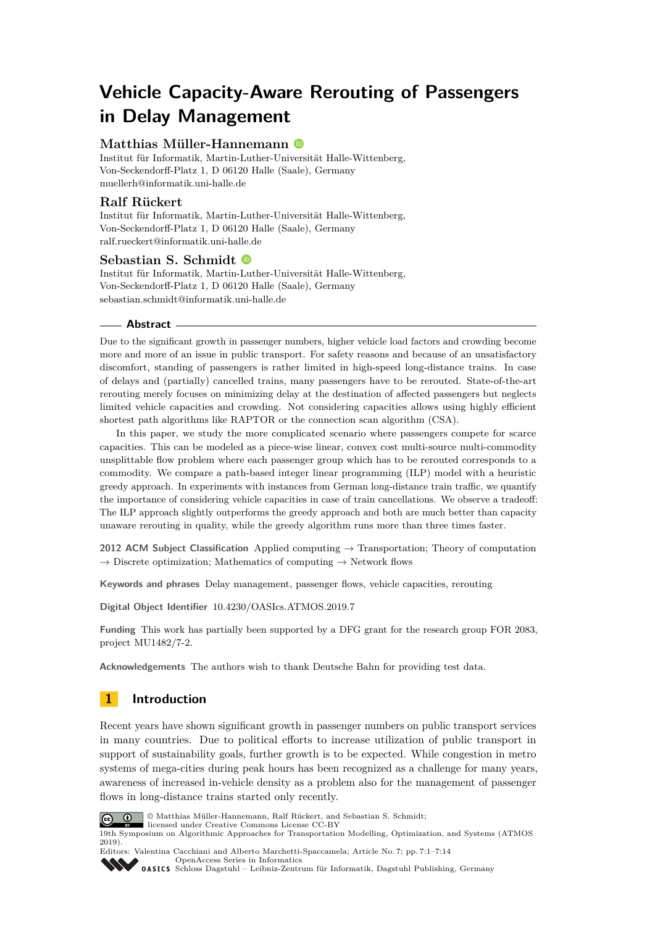# **Vehicle Capacity-Aware Rerouting of Passengers in Delay Management**

## **Matthias Müller-Hannemann**

Institut für Informatik, Martin-Luther-Universität Halle-Wittenberg, Von-Seckendorff-Platz 1, D 06120 Halle (Saale), Germany [muellerh@informatik.uni-halle.de](mailto:muellerh@informatik.uni-halle.de)

## **Ralf Rückert**

Institut für Informatik, Martin-Luther-Universität Halle-Wittenberg, Von-Seckendorff-Platz 1, D 06120 Halle (Saale), Germany [ralf.rueckert@informatik.uni-halle.de](mailto:ralf.rueckert@informatik.uni-halle.de)

#### **Sebastian S. Schmidt**

Institut für Informatik, Martin-Luther-Universität Halle-Wittenberg, Von-Seckendorff-Platz 1, D 06120 Halle (Saale), Germany [sebastian.schmidt@informatik.uni-halle.de](mailto:sebastian.schmidt@informatik.uni-halle.de)

#### **Abstract**

Due to the significant growth in passenger numbers, higher vehicle load factors and crowding become more and more of an issue in public transport. For safety reasons and because of an unsatisfactory discomfort, standing of passengers is rather limited in high-speed long-distance trains. In case of delays and (partially) cancelled trains, many passengers have to be rerouted. State-of-the-art rerouting merely focuses on minimizing delay at the destination of affected passengers but neglects limited vehicle capacities and crowding. Not considering capacities allows using highly efficient shortest path algorithms like RAPTOR or the connection scan algorithm (CSA).

In this paper, we study the more complicated scenario where passengers compete for scarce capacities. This can be modeled as a piece-wise linear, convex cost multi-source multi-commodity unsplittable flow problem where each passenger group which has to be rerouted corresponds to a commodity. We compare a path-based integer linear programming (ILP) model with a heuristic greedy approach. In experiments with instances from German long-distance train traffic, we quantify the importance of considering vehicle capacities in case of train cancellations. We observe a tradeoff: The ILP approach slightly outperforms the greedy approach and both are much better than capacity unaware rerouting in quality, while the greedy algorithm runs more than three times faster.

**2012 ACM Subject Classification** Applied computing → Transportation; Theory of computation  $\rightarrow$  Discrete optimization; Mathematics of computing  $\rightarrow$  Network flows

**Keywords and phrases** Delay management, passenger flows, vehicle capacities, rerouting

**Digital Object Identifier** [10.4230/OASIcs.ATMOS.2019.7](https://doi.org/10.4230/OASIcs.ATMOS.2019.7)

**Funding** This work has partially been supported by a DFG grant for the research group FOR 2083, project MU1482/7-2.

**Acknowledgements** The authors wish to thank Deutsche Bahn for providing test data.

## **1 Introduction**

Recent years have shown significant growth in passenger numbers on public transport services in many countries. Due to political efforts to increase utilization of public transport in support of sustainability goals, further growth is to be expected. While congestion in metro systems of mega-cities during peak hours has been recognized as a challenge for many years, awareness of increased in-vehicle density as a problem also for the management of passenger flows in long-distance trains started only recently.



© Matthias Müller-Hannemann, Ralf Rückert, and Sebastian S. Schmidt;

licensed under Creative Commons License CC-BY 19th Symposium on Algorithmic Approaches for Transportation Modelling, Optimization, and Systems (ATMOS 2019).

Editors: Valentina Cacchiani and Alberto Marchetti-Spaccamela; Article No. 7; pp. 7:1–7[:14](#page-13-0) [OpenAccess Series in Informatics](https://www.dagstuhl.de/oasics/) [Schloss Dagstuhl – Leibniz-Zentrum für Informatik, Dagstuhl Publishing, Germany](https://www.dagstuhl.de)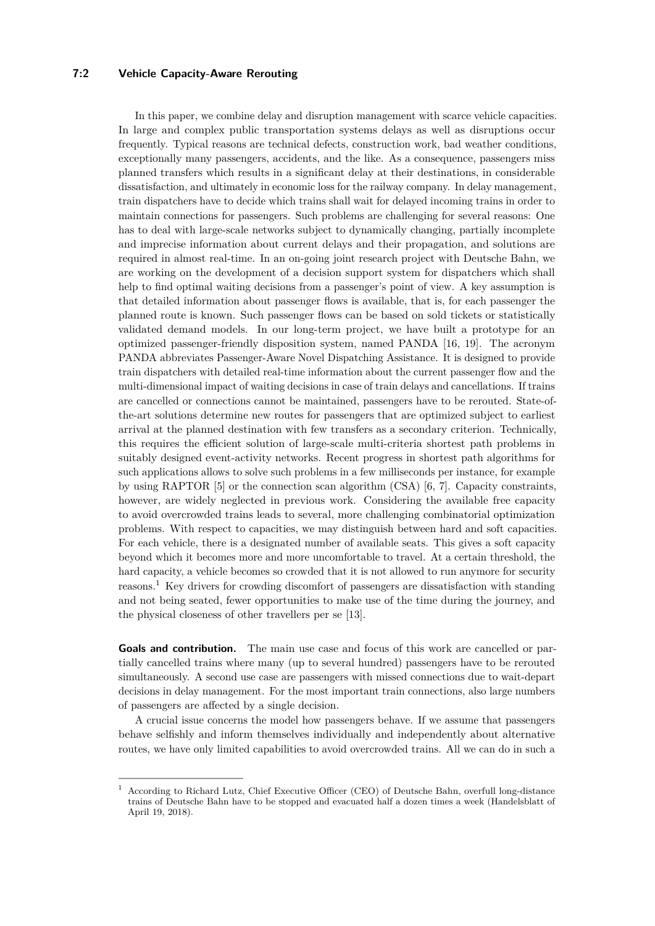### **7:2 Vehicle Capacity-Aware Rerouting**

In this paper, we combine delay and disruption management with scarce vehicle capacities. In large and complex public transportation systems delays as well as disruptions occur frequently. Typical reasons are technical defects, construction work, bad weather conditions, exceptionally many passengers, accidents, and the like. As a consequence, passengers miss planned transfers which results in a significant delay at their destinations, in considerable dissatisfaction, and ultimately in economic loss for the railway company. In delay management, train dispatchers have to decide which trains shall wait for delayed incoming trains in order to maintain connections for passengers. Such problems are challenging for several reasons: One has to deal with large-scale networks subject to dynamically changing, partially incomplete and imprecise information about current delays and their propagation, and solutions are required in almost real-time. In an on-going joint research project with Deutsche Bahn, we are working on the development of a decision support system for dispatchers which shall help to find optimal waiting decisions from a passenger's point of view. A key assumption is that detailed information about passenger flows is available, that is, for each passenger the planned route is known. Such passenger flows can be based on sold tickets or statistically validated demand models. In our long-term project, we have built a prototype for an optimized passenger-friendly disposition system, named PANDA [\[16,](#page-13-1) [19\]](#page-13-2). The acronym PANDA abbreviates Passenger-Aware Novel Dispatching Assistance. It is designed to provide train dispatchers with detailed real-time information about the current passenger flow and the multi-dimensional impact of waiting decisions in case of train delays and cancellations. If trains are cancelled or connections cannot be maintained, passengers have to be rerouted. State-ofthe-art solutions determine new routes for passengers that are optimized subject to earliest arrival at the planned destination with few transfers as a secondary criterion. Technically, this requires the efficient solution of large-scale multi-criteria shortest path problems in suitably designed event-activity networks. Recent progress in shortest path algorithms for such applications allows to solve such problems in a few milliseconds per instance, for example by using RAPTOR [\[5\]](#page-12-0) or the connection scan algorithm (CSA) [\[6,](#page-12-1) [7\]](#page-12-2). Capacity constraints, however, are widely neglected in previous work. Considering the available free capacity to avoid overcrowded trains leads to several, more challenging combinatorial optimization problems. With respect to capacities, we may distinguish between hard and soft capacities. For each vehicle, there is a designated number of available seats. This gives a soft capacity beyond which it becomes more and more uncomfortable to travel. At a certain threshold, the hard capacity, a vehicle becomes so crowded that it is not allowed to run anymore for security reasons.[1](#page-1-0) Key drivers for crowding discomfort of passengers are dissatisfaction with standing and not being seated, fewer opportunities to make use of the time during the journey, and the physical closeness of other travellers per se [\[13\]](#page-12-3).

**Goals and contribution.** The main use case and focus of this work are cancelled or partially cancelled trains where many (up to several hundred) passengers have to be rerouted simultaneously. A second use case are passengers with missed connections due to wait-depart decisions in delay management. For the most important train connections, also large numbers of passengers are affected by a single decision.

A crucial issue concerns the model how passengers behave. If we assume that passengers behave selfishly and inform themselves individually and independently about alternative routes, we have only limited capabilities to avoid overcrowded trains. All we can do in such a

<span id="page-1-0"></span><sup>1</sup> According to Richard Lutz, Chief Executive Officer (CEO) of Deutsche Bahn, overfull long-distance trains of Deutsche Bahn have to be stopped and evacuated half a dozen times a week (Handelsblatt of April 19, 2018).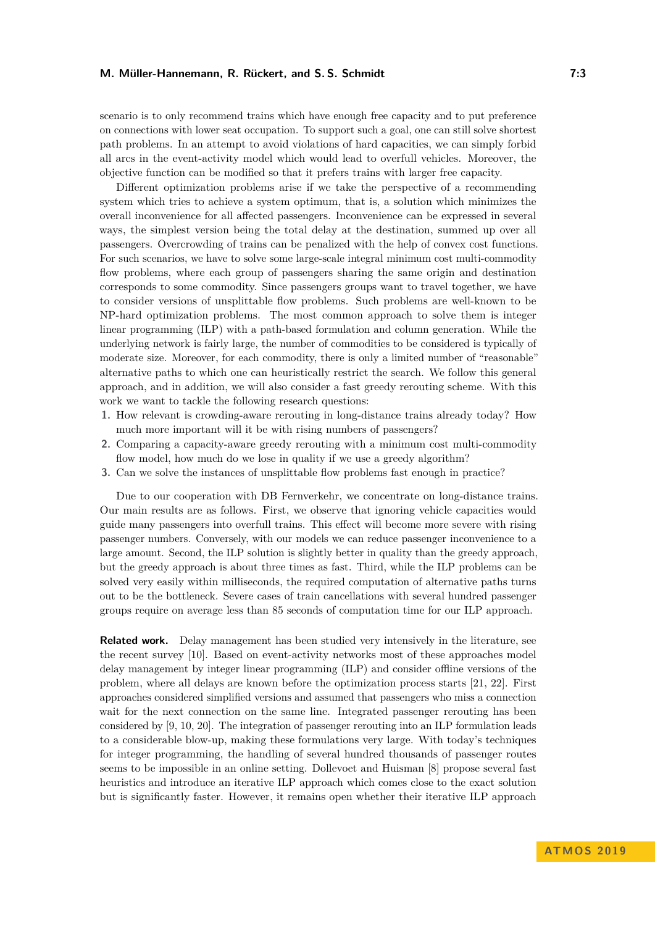#### **M. Müller-Hannemann, R. Rückert, and S. S. Schmidt 7:3**

scenario is to only recommend trains which have enough free capacity and to put preference on connections with lower seat occupation. To support such a goal, one can still solve shortest path problems. In an attempt to avoid violations of hard capacities, we can simply forbid all arcs in the event-activity model which would lead to overfull vehicles. Moreover, the objective function can be modified so that it prefers trains with larger free capacity.

Different optimization problems arise if we take the perspective of a recommending system which tries to achieve a system optimum, that is, a solution which minimizes the overall inconvenience for all affected passengers. Inconvenience can be expressed in several ways, the simplest version being the total delay at the destination, summed up over all passengers. Overcrowding of trains can be penalized with the help of convex cost functions. For such scenarios, we have to solve some large-scale integral minimum cost multi-commodity flow problems, where each group of passengers sharing the same origin and destination corresponds to some commodity. Since passengers groups want to travel together, we have to consider versions of unsplittable flow problems. Such problems are well-known to be NP-hard optimization problems. The most common approach to solve them is integer linear programming (ILP) with a path-based formulation and column generation. While the underlying network is fairly large, the number of commodities to be considered is typically of moderate size. Moreover, for each commodity, there is only a limited number of "reasonable" alternative paths to which one can heuristically restrict the search. We follow this general approach, and in addition, we will also consider a fast greedy rerouting scheme. With this work we want to tackle the following research questions:

- **1.** How relevant is crowding-aware rerouting in long-distance trains already today? How much more important will it be with rising numbers of passengers?
- **2.** Comparing a capacity-aware greedy rerouting with a minimum cost multi-commodity flow model, how much do we lose in quality if we use a greedy algorithm?
- **3.** Can we solve the instances of unsplittable flow problems fast enough in practice?

Due to our cooperation with DB Fernverkehr, we concentrate on long-distance trains. Our main results are as follows. First, we observe that ignoring vehicle capacities would guide many passengers into overfull trains. This effect will become more severe with rising passenger numbers. Conversely, with our models we can reduce passenger inconvenience to a large amount. Second, the ILP solution is slightly better in quality than the greedy approach, but the greedy approach is about three times as fast. Third, while the ILP problems can be solved very easily within milliseconds, the required computation of alternative paths turns out to be the bottleneck. Severe cases of train cancellations with several hundred passenger groups require on average less than 85 seconds of computation time for our ILP approach.

**Related work.** Delay management has been studied very intensively in the literature, see the recent survey [\[10\]](#page-12-4). Based on event-activity networks most of these approaches model delay management by integer linear programming (ILP) and consider offline versions of the problem, where all delays are known before the optimization process starts [\[21,](#page-13-3) [22\]](#page-13-4). First approaches considered simplified versions and assumed that passengers who miss a connection wait for the next connection on the same line. Integrated passenger rerouting has been considered by [\[9,](#page-12-5) [10,](#page-12-4) [20\]](#page-13-5). The integration of passenger rerouting into an ILP formulation leads to a considerable blow-up, making these formulations very large. With today's techniques for integer programming, the handling of several hundred thousands of passenger routes seems to be impossible in an online setting. Dollevoet and Huisman [\[8\]](#page-12-6) propose several fast heuristics and introduce an iterative ILP approach which comes close to the exact solution but is significantly faster. However, it remains open whether their iterative ILP approach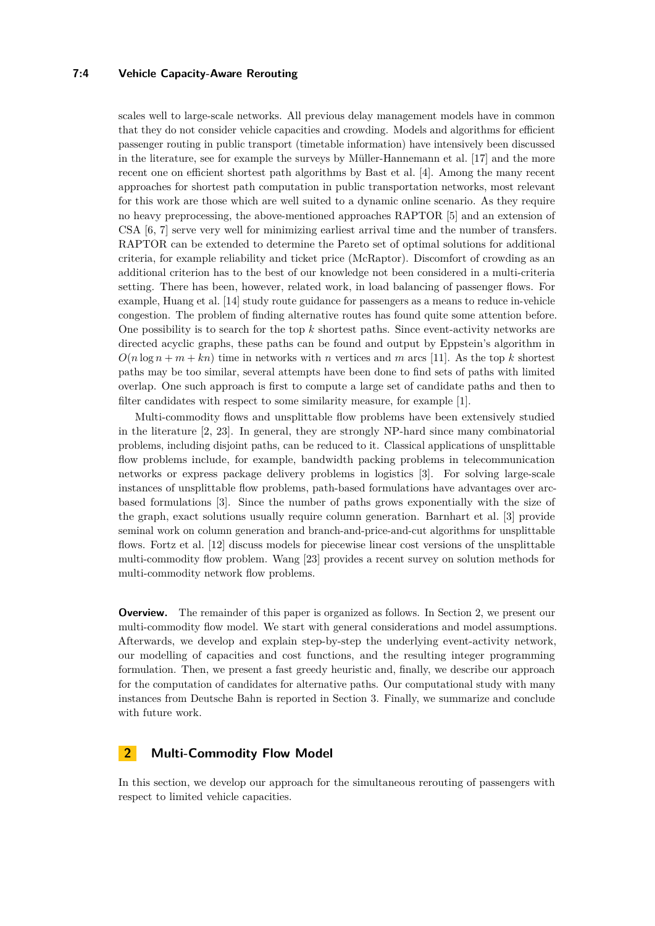### **7:4 Vehicle Capacity-Aware Rerouting**

scales well to large-scale networks. All previous delay management models have in common that they do not consider vehicle capacities and crowding. Models and algorithms for efficient passenger routing in public transport (timetable information) have intensively been discussed in the literature, see for example the surveys by Müller-Hannemann et al. [\[17\]](#page-13-6) and the more recent one on efficient shortest path algorithms by Bast et al. [\[4\]](#page-12-7). Among the many recent approaches for shortest path computation in public transportation networks, most relevant for this work are those which are well suited to a dynamic online scenario. As they require no heavy preprocessing, the above-mentioned approaches RAPTOR [\[5\]](#page-12-0) and an extension of CSA  $[6, 7]$  $[6, 7]$  $[6, 7]$  serve very well for minimizing earliest arrival time and the number of transfers. RAPTOR can be extended to determine the Pareto set of optimal solutions for additional criteria, for example reliability and ticket price (McRaptor). Discomfort of crowding as an additional criterion has to the best of our knowledge not been considered in a multi-criteria setting. There has been, however, related work, in load balancing of passenger flows. For example, Huang et al. [\[14\]](#page-12-8) study route guidance for passengers as a means to reduce in-vehicle congestion. The problem of finding alternative routes has found quite some attention before. One possibility is to search for the top *k* shortest paths. Since event-activity networks are directed acyclic graphs, these paths can be found and output by Eppstein's algorithm in  $O(n \log n + m + kn)$  time in networks with *n* vertices and *m* arcs [\[11\]](#page-12-9). As the top *k* shortest paths may be too similar, several attempts have been done to find sets of paths with limited overlap. One such approach is first to compute a large set of candidate paths and then to filter candidates with respect to some similarity measure, for example [\[1\]](#page-12-10).

Multi-commodity flows and unsplittable flow problems have been extensively studied in the literature [\[2,](#page-12-11) [23\]](#page-13-7). In general, they are strongly NP-hard since many combinatorial problems, including disjoint paths, can be reduced to it. Classical applications of unsplittable flow problems include, for example, bandwidth packing problems in telecommunication networks or express package delivery problems in logistics [\[3\]](#page-12-12). For solving large-scale instances of unsplittable flow problems, path-based formulations have advantages over arcbased formulations [\[3\]](#page-12-12). Since the number of paths grows exponentially with the size of the graph, exact solutions usually require column generation. Barnhart et al. [\[3\]](#page-12-12) provide seminal work on column generation and branch-and-price-and-cut algorithms for unsplittable flows. Fortz et al. [\[12\]](#page-12-13) discuss models for piecewise linear cost versions of the unsplittable multi-commodity flow problem. Wang [\[23\]](#page-13-7) provides a recent survey on solution methods for multi-commodity network flow problems.

**Overview.** The remainder of this paper is organized as follows. In Section [2,](#page-3-0) we present our multi-commodity flow model. We start with general considerations and model assumptions. Afterwards, we develop and explain step-by-step the underlying event-activity network, our modelling of capacities and cost functions, and the resulting integer programming formulation. Then, we present a fast greedy heuristic and, finally, we describe our approach for the computation of candidates for alternative paths. Our computational study with many instances from Deutsche Bahn is reported in Section [3.](#page-7-0) Finally, we summarize and conclude with future work.

## <span id="page-3-0"></span>**2 Multi-Commodity Flow Model**

In this section, we develop our approach for the simultaneous rerouting of passengers with respect to limited vehicle capacities.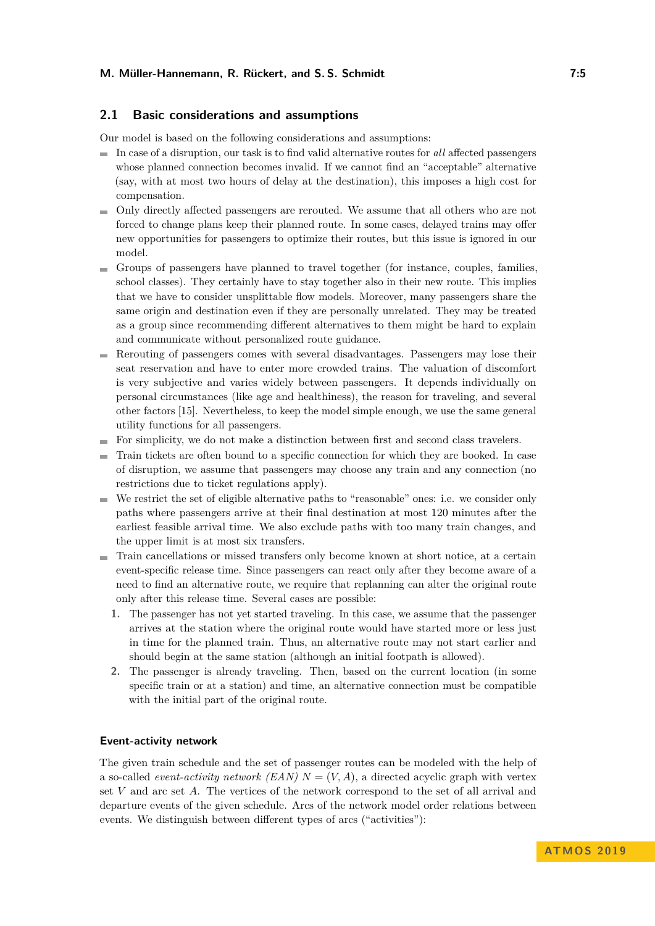#### **2.1 Basic considerations and assumptions**

Our model is based on the following considerations and assumptions:

- In case of a disruption, our task is to find valid alternative routes for *all* affected passengers whose planned connection becomes invalid. If we cannot find an "acceptable" alternative (say, with at most two hours of delay at the destination), this imposes a high cost for compensation.
- Only directly affected passengers are rerouted. We assume that all others who are not forced to change plans keep their planned route. In some cases, delayed trains may offer new opportunities for passengers to optimize their routes, but this issue is ignored in our model.
- Groups of passengers have planned to travel together (for instance, couples, families, school classes). They certainly have to stay together also in their new route. This implies that we have to consider unsplittable flow models. Moreover, many passengers share the same origin and destination even if they are personally unrelated. They may be treated as a group since recommending different alternatives to them might be hard to explain and communicate without personalized route guidance.
- Rerouting of passengers comes with several disadvantages. Passengers may lose their seat reservation and have to enter more crowded trains. The valuation of discomfort is very subjective and varies widely between passengers. It depends individually on personal circumstances (like age and healthiness), the reason for traveling, and several other factors [\[15\]](#page-12-14). Nevertheless, to keep the model simple enough, we use the same general utility functions for all passengers.
- For simplicity, we do not make a distinction between first and second class travelers.
- Train tickets are often bound to a specific connection for which they are booked. In case of disruption, we assume that passengers may choose any train and any connection (no restrictions due to ticket regulations apply).
- We restrict the set of eligible alternative paths to "reasonable" ones: i.e. we consider only paths where passengers arrive at their final destination at most 120 minutes after the earliest feasible arrival time. We also exclude paths with too many train changes, and the upper limit is at most six transfers.
- Train cancellations or missed transfers only become known at short notice, at a certain event-specific release time. Since passengers can react only after they become aware of a need to find an alternative route, we require that replanning can alter the original route only after this release time. Several cases are possible:
	- **1.** The passenger has not yet started traveling. In this case, we assume that the passenger arrives at the station where the original route would have started more or less just in time for the planned train. Thus, an alternative route may not start earlier and should begin at the same station (although an initial footpath is allowed).
	- **2.** The passenger is already traveling. Then, based on the current location (in some specific train or at a station) and time, an alternative connection must be compatible with the initial part of the original route.

### **Event-activity network**

The given train schedule and the set of passenger routes can be modeled with the help of a so-called *event-activity network (EAN)*  $N = (V, A)$ , a directed acyclic graph with vertex set *V* and arc set *A*. The vertices of the network correspond to the set of all arrival and departure events of the given schedule. Arcs of the network model order relations between events. We distinguish between different types of arcs ("activities"):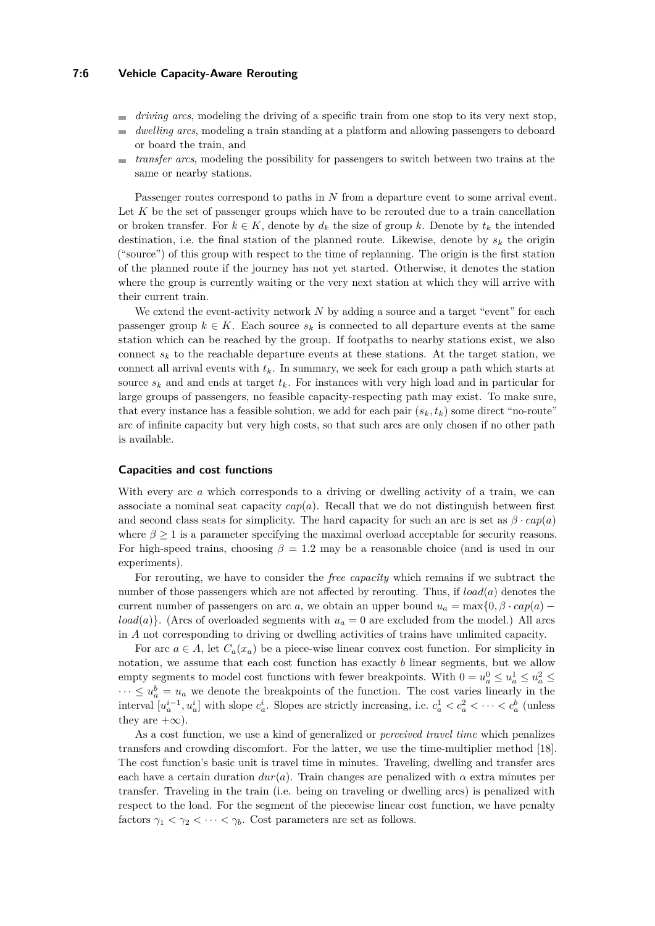#### **7:6 Vehicle Capacity-Aware Rerouting**

- *driving arcs*, modeling the driving of a specific train from one stop to its very next stop, m.
- *dwelling arcs*, modeling a train standing at a platform and allowing passengers to deboard  $\overline{a}$ or board the train, and
- $\blacksquare$ *transfer arcs*, modeling the possibility for passengers to switch between two trains at the same or nearby stations.

Passenger routes correspond to paths in N from a departure event to some arrival event. Let K be the set of passenger groups which have to be rerouted due to a train cancellation or broken transfer. For  $k \in K$ , denote by  $d_k$  the size of group k. Denote by  $t_k$  the intended destination, i.e. the final station of the planned route. Likewise, denote by *s<sup>k</sup>* the origin ("source") of this group with respect to the time of replanning. The origin is the first station of the planned route if the journey has not yet started. Otherwise, it denotes the station where the group is currently waiting or the very next station at which they will arrive with their current train.

We extend the event-activity network N by adding a source and a target "event" for each passenger group  $k \in K$ . Each source  $s_k$  is connected to all departure events at the same station which can be reached by the group. If footpaths to nearby stations exist, we also connect  $s_k$  to the reachable departure events at these stations. At the target station, we connect all arrival events with  $t_k$ . In summary, we seek for each group a path which starts at source  $s_k$  and and ends at target  $t_k$ . For instances with very high load and in particular for large groups of passengers, no feasible capacity-respecting path may exist. To make sure, that every instance has a feasible solution, we add for each pair  $(s_k, t_k)$  some direct "no-route" arc of infinite capacity but very high costs, so that such arcs are only chosen if no other path is available.

#### **Capacities and cost functions**

With every arc *a* which corresponds to a driving or dwelling activity of a train, we can associate a nominal seat capacity *cap*(*a*). Recall that we do not distinguish between first and second class seats for simplicity. The hard capacity for such an arc is set as  $\beta \cdot cap(a)$ where  $\beta > 1$  is a parameter specifying the maximal overload acceptable for security reasons. For high-speed trains, choosing  $\beta = 1.2$  may be a reasonable choice (and is used in our experiments).

For rerouting, we have to consider the *free capacity* which remains if we subtract the number of those passengers which are not affected by rerouting. Thus, if *load*(*a*) denotes the current number of passengers on arc *a*, we obtain an upper bound  $u_a = \max\{0, \beta \cdot cap(a)$  $load(a)$ . (Arcs of overloaded segments with  $u<sub>a</sub> = 0$  are excluded from the model.) All arcs in *A* not corresponding to driving or dwelling activities of trains have unlimited capacity.

For arc  $a \in A$ , let  $C_a(x_a)$  be a piece-wise linear convex cost function. For simplicity in notation, we assume that each cost function has exactly *b* linear segments, but we allow empty segments to model cost functions with fewer breakpoints. With  $0 = u_a^0 \le u_a^1 \le u_a^2 \le$  $\cdots \leq u_a^b = u_a$  we denote the breakpoints of the function. The cost varies linearly in the interval  $[u_a^{i-1}, u_a^i]$  with slope  $c_a^i$ . Slopes are strictly increasing, i.e.  $c_a^1 < c_a^2 < \cdots < c_a^b$  (unless they are  $+\infty$ ).

As a cost function, we use a kind of generalized or *perceived travel time* which penalizes transfers and crowding discomfort. For the latter, we use the time-multiplier method [\[18\]](#page-13-8). The cost function's basic unit is travel time in minutes. Traveling, dwelling and transfer arcs each have a certain duration  $dur(a)$ . Train changes are penalized with  $\alpha$  extra minutes per transfer. Traveling in the train (i.e. being on traveling or dwelling arcs) is penalized with respect to the load. For the segment of the piecewise linear cost function, we have penalty factors  $\gamma_1 < \gamma_2 < \cdots < \gamma_b$ . Cost parameters are set as follows.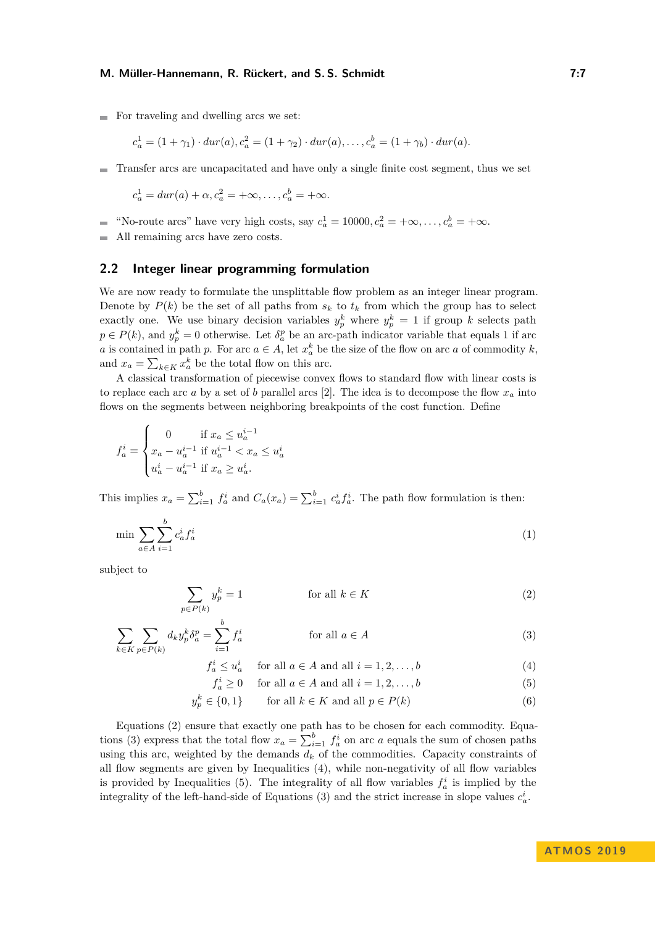#### **M. Müller-Hannemann, R. Rückert, and S. S. Schmidt 7:7**

For traveling and dwelling arcs we set:

$$
c_a^1 = (1 + \gamma_1) \cdot dur(a), c_a^2 = (1 + \gamma_2) \cdot dur(a), \dots, c_a^b = (1 + \gamma_b) \cdot dur(a).
$$

Transfer arcs are uncapacitated and have only a single finite cost segment, thus we set

$$
c_a^1 = dur(a) + \alpha, c_a^2 = +\infty, \dots, c_a^b = +\infty.
$$

- "No-route arcs" have very high costs, say  $c_a^1 = 10000$ ,  $c_a^2 = +\infty, \ldots, c_a^b = +\infty$ .
- All remaining arcs have zero costs.

#### **2.2 Integer linear programming formulation**

We are now ready to formulate the unsplittable flow problem as an integer linear program. Denote by  $P(k)$  be the set of all paths from  $s_k$  to  $t_k$  from which the group has to select exactly one. We use binary decision variables  $y_p^k$  where  $y_p^k = 1$  if group k selects path  $p \in P(k)$ , and  $y_p^k = 0$  otherwise. Let  $\delta_a^p$  be an arc-path indicator variable that equals 1 if arc *a* is contained in path *p*. For arc  $a \in A$ , let  $x_a^k$  be the size of the flow on arc *a* of commodity *k*, and  $x_a = \sum_{k \in K} x_a^k$  be the total flow on this arc.

A classical transformation of piecewise convex flows to standard flow with linear costs is to replace each arc *a* by a set of *b* parallel arcs [\[2\]](#page-12-11). The idea is to decompose the flow  $x_a$  into flows on the segments between neighboring breakpoints of the cost function. Define

$$
f_a^i = \begin{cases} 0 & \text{if } x_a \le u_a^{i-1} \\ x_a - u_a^{i-1} & \text{if } u_a^{i-1} < x_a \le u_a^i \\ u_a^i - u_a^{i-1} & \text{if } x_a \ge u_a^i. \end{cases}
$$

This implies  $x_a = \sum_{i=1}^b f_a^i$  and  $C_a(x_a) = \sum_{i=1}^b c_a^i f_a^i$ . The path flow formulation is then:

$$
\min \sum_{a \in A} \sum_{i=1}^{b} c_a^i f_a^i \tag{1}
$$

subject to

<span id="page-6-0"></span>
$$
\sum_{p \in P(k)} y_p^k = 1 \qquad \text{for all } k \in K \tag{2}
$$

$$
\sum_{k \in K} \sum_{p \in P(k)} d_k y_p^k \delta_a^p = \sum_{i=1}^b f_a^i \qquad \text{for all } a \in A
$$
\n(3)

$$
f_a^i \le u_a^i \quad \text{ for all } a \in A \text{ and all } i = 1, 2, \dots, b \tag{4}
$$

$$
f_a^i \ge 0 \quad \text{ for all } a \in A \text{ and all } i = 1, 2, \dots, b \tag{5}
$$

$$
y_p^k \in \{0, 1\} \qquad \text{for all } k \in K \text{ and all } p \in P(k) \tag{6}
$$

Equations [\(2\)](#page-6-0) ensure that exactly one path has to be chosen for each commodity. Equa-tions [\(3\)](#page-6-0) express that the total flow  $x_a = \sum_{i=1}^{b} f_a^i$  on arc *a* equals the sum of chosen paths using this arc, weighted by the demands  $d_k$  of the commodities. Capacity constraints of all flow segments are given by Inequalities [\(4\)](#page-6-0), while non-negativity of all flow variables is provided by Inequalities [\(5\)](#page-6-0). The integrality of all flow variables  $f_a^i$  is implied by the integrality of the left-hand-side of Equations [\(3\)](#page-6-0) and the strict increase in slope values  $c_a^i$ .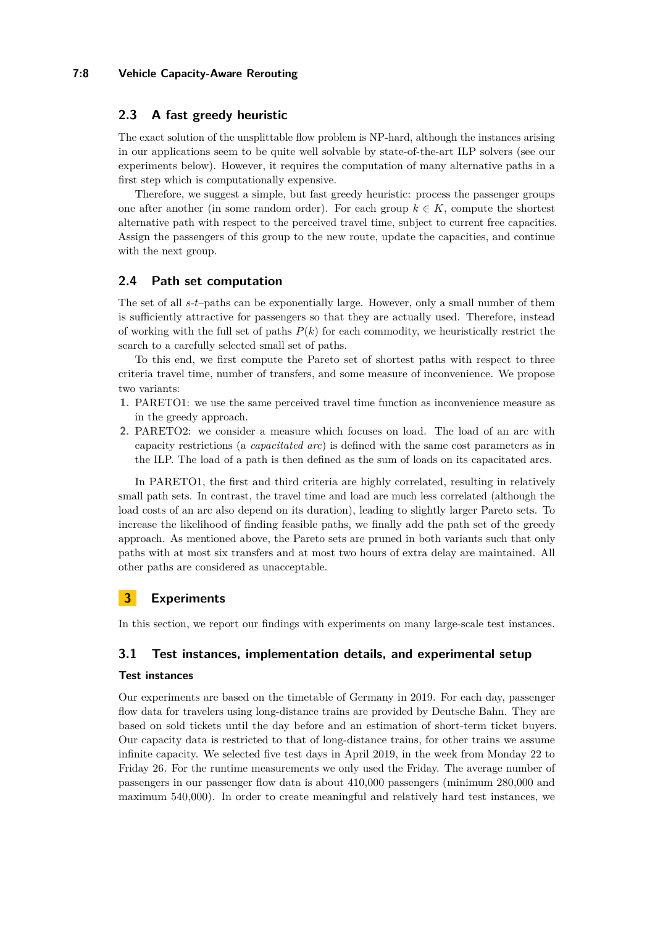#### **7:8 Vehicle Capacity-Aware Rerouting**

## <span id="page-7-1"></span>**2.3 A fast greedy heuristic**

The exact solution of the unsplittable flow problem is NP-hard, although the instances arising in our applications seem to be quite well solvable by state-of-the-art ILP solvers (see our experiments below). However, it requires the computation of many alternative paths in a first step which is computationally expensive.

Therefore, we suggest a simple, but fast greedy heuristic: process the passenger groups one after another (in some random order). For each group  $k \in K$ , compute the shortest alternative path with respect to the perceived travel time, subject to current free capacities. Assign the passengers of this group to the new route, update the capacities, and continue with the next group.

### **2.4 Path set computation**

The set of all *s*-*t*–paths can be exponentially large. However, only a small number of them is sufficiently attractive for passengers so that they are actually used. Therefore, instead of working with the full set of paths  $P(k)$  for each commodity, we heuristically restrict the search to a carefully selected small set of paths.

To this end, we first compute the Pareto set of shortest paths with respect to three criteria travel time, number of transfers, and some measure of inconvenience. We propose two variants:

- **1.** PARETO1: we use the same perceived travel time function as inconvenience measure as in the greedy approach.
- **2.** PARETO2: we consider a measure which focuses on load. The load of an arc with capacity restrictions (a *capacitated arc*) is defined with the same cost parameters as in the ILP. The load of a path is then defined as the sum of loads on its capacitated arcs.

In PARETO1, the first and third criteria are highly correlated, resulting in relatively small path sets. In contrast, the travel time and load are much less correlated (although the load costs of an arc also depend on its duration), leading to slightly larger Pareto sets. To increase the likelihood of finding feasible paths, we finally add the path set of the greedy approach. As mentioned above, the Pareto sets are pruned in both variants such that only paths with at most six transfers and at most two hours of extra delay are maintained. All other paths are considered as unacceptable.

## <span id="page-7-0"></span>**3 Experiments**

In this section, we report our findings with experiments on many large-scale test instances.

## **3.1 Test instances, implementation details, and experimental setup**

#### **Test instances**

Our experiments are based on the timetable of Germany in 2019. For each day, passenger flow data for travelers using long-distance trains are provided by Deutsche Bahn. They are based on sold tickets until the day before and an estimation of short-term ticket buyers. Our capacity data is restricted to that of long-distance trains, for other trains we assume infinite capacity. We selected five test days in April 2019, in the week from Monday 22 to Friday 26. For the runtime measurements we only used the Friday. The average number of passengers in our passenger flow data is about 410,000 passengers (minimum 280,000 and maximum 540,000). In order to create meaningful and relatively hard test instances, we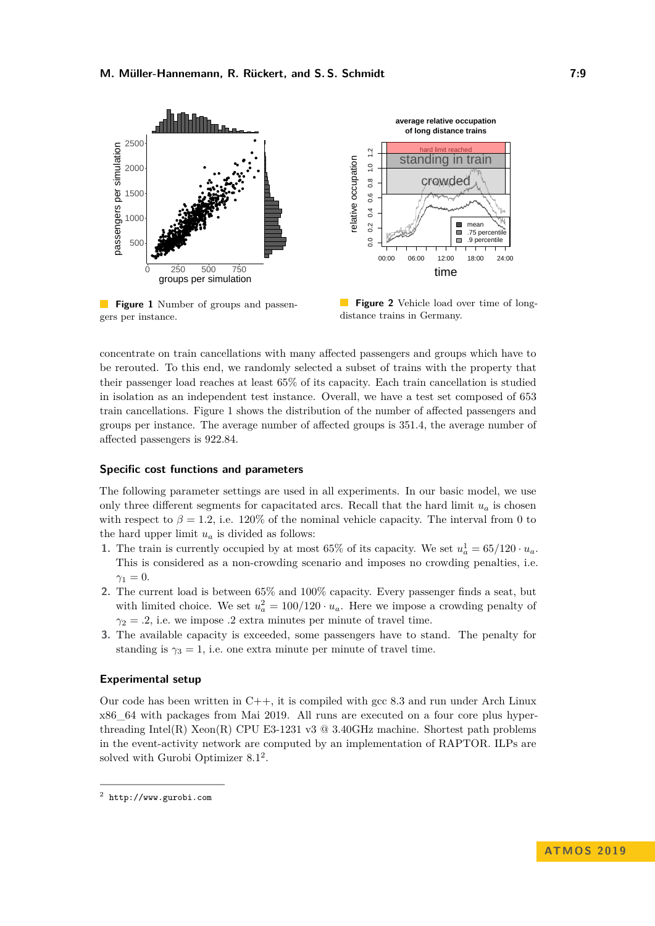<span id="page-8-0"></span>

**Figure 1** Number of groups and passengers per instance.

**Figure 2** Vehicle load over time of longdistance trains in Germany.

concentrate on train cancellations with many affected passengers and groups which have to be rerouted. To this end, we randomly selected a subset of trains with the property that their passenger load reaches at least 65% of its capacity. Each train cancellation is studied in isolation as an independent test instance. Overall, we have a test set composed of 653 train cancellations. Figure [1](#page-8-0) shows the distribution of the number of affected passengers and groups per instance. The average number of affected groups is 351.4, the average number of affected passengers is 922.84.

#### **Specific cost functions and parameters**

The following parameter settings are used in all experiments. In our basic model, we use only three different segments for capacitated arcs. Recall that the hard limit  $u_a$  is chosen with respect to  $\beta = 1.2$ , i.e. 120% of the nominal vehicle capacity. The interval from 0 to the hard upper limit  $u_a$  is divided as follows:

- **1.** The train is currently occupied by at most 65% of its capacity. We set  $u_a^1 = 65/120 \cdot u_a$ . This is considered as a non-crowding scenario and imposes no crowding penalties, i.e.  $\gamma_1 = 0.$
- **2.** The current load is between 65% and 100% capacity. Every passenger finds a seat, but with limited choice. We set  $u_a^2 = 100/120 \cdot u_a$ . Here we impose a crowding penalty of  $\gamma_2 = .2$ , i.e. we impose *.*2 extra minutes per minute of travel time.
- **3.** The available capacity is exceeded, some passengers have to stand. The penalty for standing is  $\gamma_3 = 1$ , i.e. one extra minute per minute of travel time.

#### **Experimental setup**

Our code has been written in C++, it is compiled with gcc 8.3 and run under Arch Linux x86\_64 with packages from Mai 2019. All runs are executed on a four core plus hyperthreading Intel(R) Xeon(R) CPU E3-1231 v3  $@$  3.40GHz machine. Shortest path problems in the event-activity network are computed by an implementation of RAPTOR. ILPs are solved with Gurobi Optimizer  $8.1^2$  $8.1^2$ .

<span id="page-8-1"></span><sup>2</sup> <http://www.gurobi.com>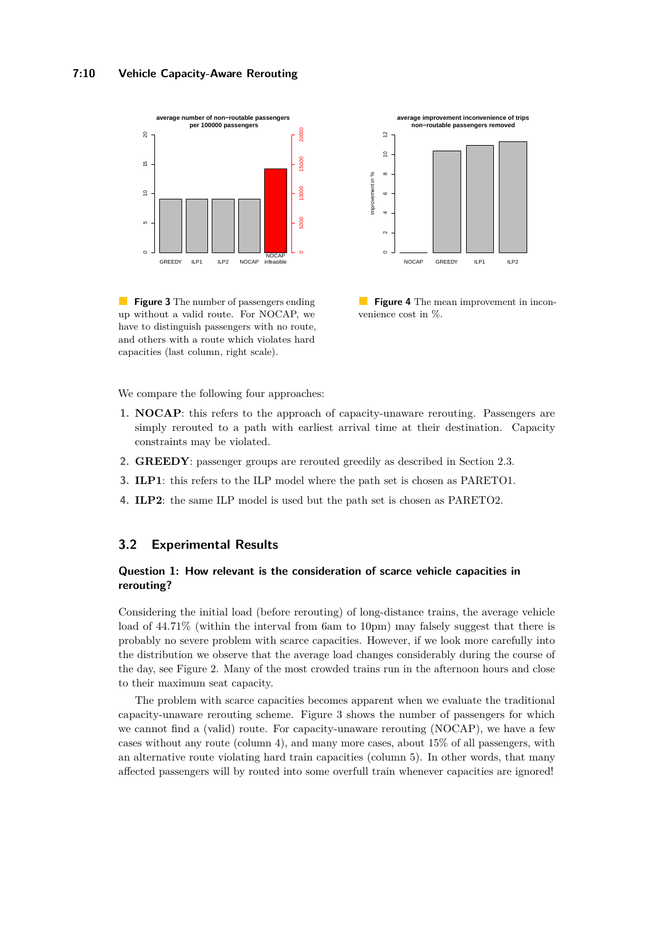<span id="page-9-0"></span>

**Figure 3** The number of passengers ending up without a valid route. For NOCAP, we have to distinguish passengers with no route, and others with a route which violates hard capacities (last column, right scale).



**Figure 4** The mean improvement in inconvenience cost in %.

We compare the following four approaches:

- **1. NOCAP**: this refers to the approach of capacity-unaware rerouting. Passengers are simply rerouted to a path with earliest arrival time at their destination. Capacity constraints may be violated.
- **2. GREEDY**: passenger groups are rerouted greedily as described in Section [2.3.](#page-7-1)
- **3. ILP1**: this refers to the ILP model where the path set is chosen as PARETO1.
- **4. ILP2**: the same ILP model is used but the path set is chosen as PARETO2.

### **3.2 Experimental Results**

## **Question 1: How relevant is the consideration of scarce vehicle capacities in rerouting?**

Considering the initial load (before rerouting) of long-distance trains, the average vehicle load of 44.71% (within the interval from 6am to 10pm) may falsely suggest that there is probably no severe problem with scarce capacities. However, if we look more carefully into the distribution we observe that the average load changes considerably during the course of the day, see Figure [2.](#page-8-0) Many of the most crowded trains run in the afternoon hours and close to their maximum seat capacity.

The problem with scarce capacities becomes apparent when we evaluate the traditional capacity-unaware rerouting scheme. Figure [3](#page-9-0) shows the number of passengers for which we cannot find a (valid) route. For capacity-unaware rerouting (NOCAP), we have a few cases without any route (column 4), and many more cases, about 15% of all passengers, with an alternative route violating hard train capacities (column 5). In other words, that many affected passengers will by routed into some overfull train whenever capacities are ignored!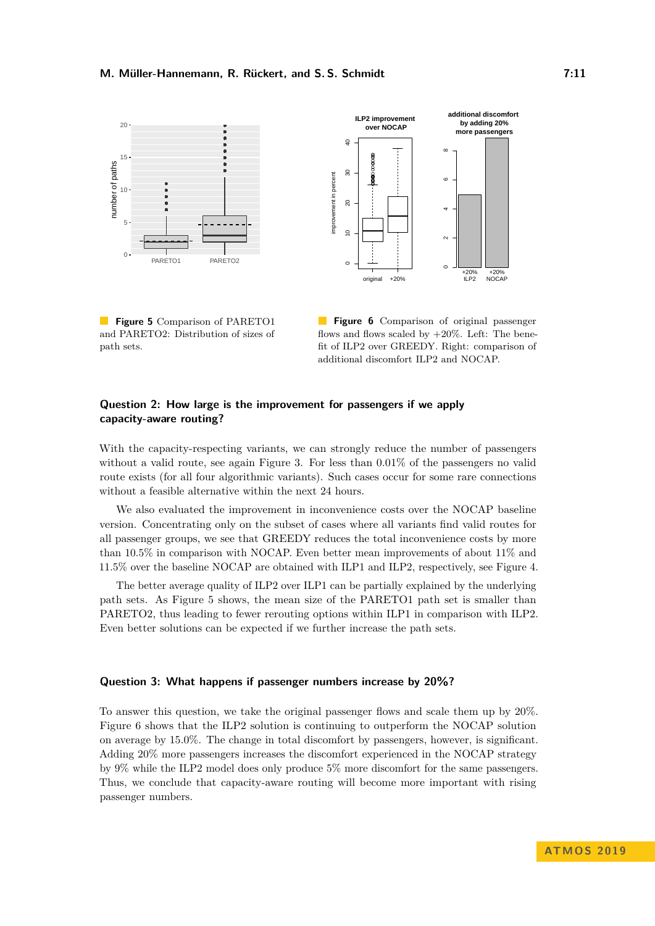<span id="page-10-0"></span>



**Figure 5** Comparison of PARETO1 and PARETO2: Distribution of sizes of path sets.

**Figure 6** Comparison of original passenger flows and flows scaled by  $+20\%$ . Left: The benefit of ILP2 over GREEDY. Right: comparison of additional discomfort ILP2 and NOCAP.

## **Question 2: How large is the improvement for passengers if we apply capacity-aware routing?**

With the capacity-respecting variants, we can strongly reduce the number of passengers without a valid route, see again Figure [3.](#page-9-0) For less than 0.01% of the passengers no valid route exists (for all four algorithmic variants). Such cases occur for some rare connections without a feasible alternative within the next 24 hours.

We also evaluated the improvement in inconvenience costs over the NOCAP baseline version. Concentrating only on the subset of cases where all variants find valid routes for all passenger groups, we see that GREEDY reduces the total inconvenience costs by more than 10.5% in comparison with NOCAP. Even better mean improvements of about 11% and 11.5% over the baseline NOCAP are obtained with ILP1 and ILP2, respectively, see Figure [4.](#page-9-0)

The better average quality of ILP2 over ILP1 can be partially explained by the underlying path sets. As Figure [5](#page-10-0) shows, the mean size of the PARETO1 path set is smaller than PARETO2, thus leading to fewer rerouting options within ILP1 in comparison with ILP2. Even better solutions can be expected if we further increase the path sets.

#### **Question 3: What happens if passenger numbers increase by 20%?**

To answer this question, we take the original passenger flows and scale them up by 20%. Figure [6](#page-10-0) shows that the ILP2 solution is continuing to outperform the NOCAP solution on average by 15.0%. The change in total discomfort by passengers, however, is significant. Adding 20% more passengers increases the discomfort experienced in the NOCAP strategy by 9% while the ILP2 model does only produce 5% more discomfort for the same passengers. Thus, we conclude that capacity-aware routing will become more important with rising passenger numbers.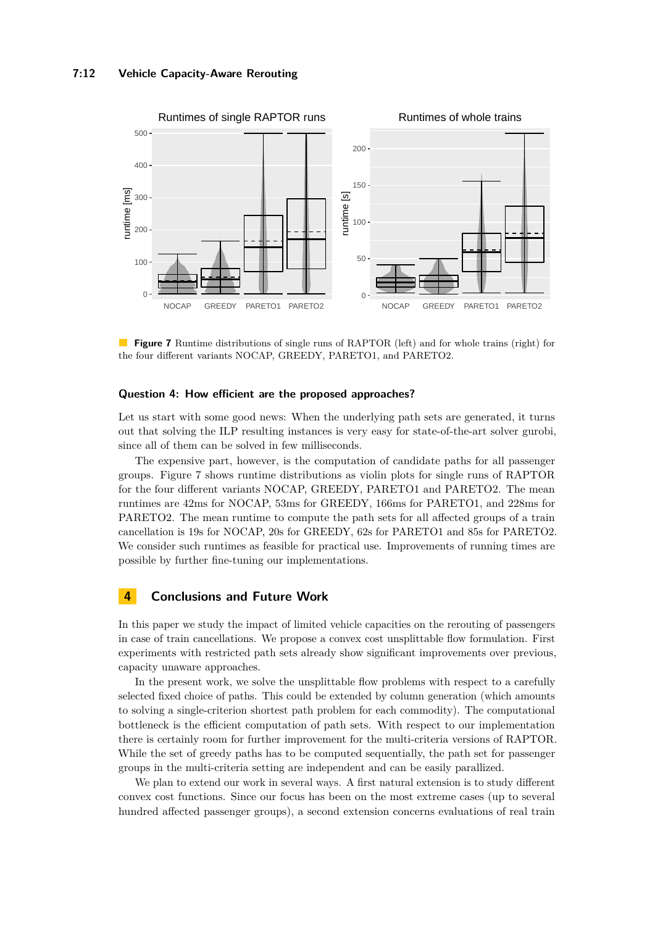<span id="page-11-0"></span>

**Figure 7** Runtime distributions of single runs of RAPTOR (left) and for whole trains (right) for the four different variants NOCAP, GREEDY, PARETO1, and PARETO2.

#### **Question 4: How efficient are the proposed approaches?**

Let us start with some good news: When the underlying path sets are generated, it turns out that solving the ILP resulting instances is very easy for state-of-the-art solver gurobi, since all of them can be solved in few milliseconds.

The expensive part, however, is the computation of candidate paths for all passenger groups. Figure [7](#page-11-0) shows runtime distributions as violin plots for single runs of RAPTOR for the four different variants NOCAP, GREEDY, PARETO1 and PARETO2. The mean runtimes are 42ms for NOCAP, 53ms for GREEDY, 166ms for PARETO1, and 228ms for PARETO2. The mean runtime to compute the path sets for all affected groups of a train cancellation is 19s for NOCAP, 20s for GREEDY, 62s for PARETO1 and 85s for PARETO2. We consider such runtimes as feasible for practical use. Improvements of running times are possible by further fine-tuning our implementations.

## **4 Conclusions and Future Work**

In this paper we study the impact of limited vehicle capacities on the rerouting of passengers in case of train cancellations. We propose a convex cost unsplittable flow formulation. First experiments with restricted path sets already show significant improvements over previous, capacity unaware approaches.

In the present work, we solve the unsplittable flow problems with respect to a carefully selected fixed choice of paths. This could be extended by column generation (which amounts to solving a single-criterion shortest path problem for each commodity). The computational bottleneck is the efficient computation of path sets. With respect to our implementation there is certainly room for further improvement for the multi-criteria versions of RAPTOR. While the set of greedy paths has to be computed sequentially, the path set for passenger groups in the multi-criteria setting are independent and can be easily parallized.

We plan to extend our work in several ways. A first natural extension is to study different convex cost functions. Since our focus has been on the most extreme cases (up to several hundred affected passenger groups), a second extension concerns evaluations of real train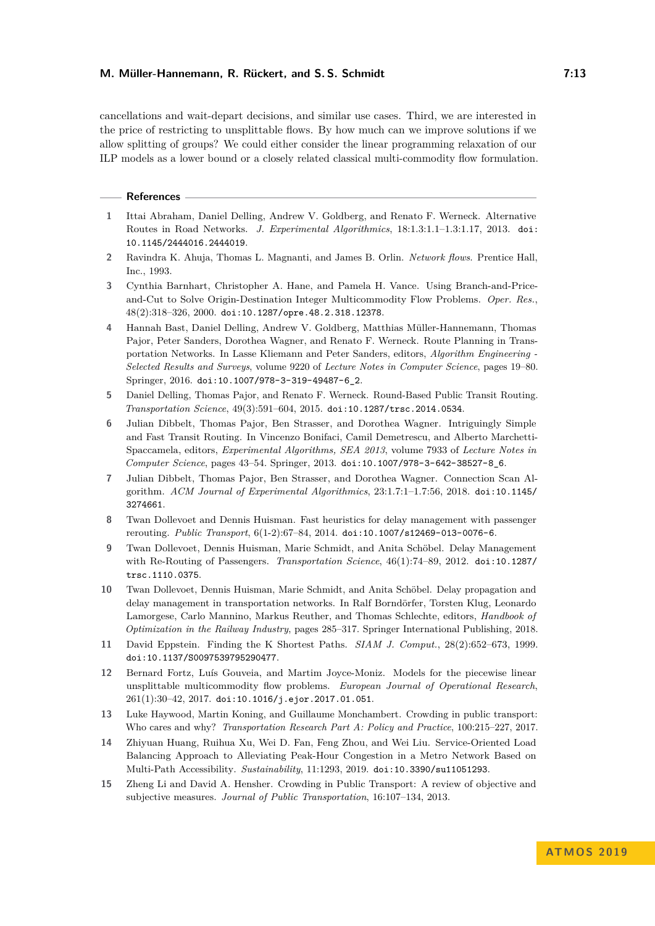#### **M. Müller-Hannemann, R. Rückert, and S. S. Schmidt 7:13**

cancellations and wait-depart decisions, and similar use cases. Third, we are interested in the price of restricting to unsplittable flows. By how much can we improve solutions if we allow splitting of groups? We could either consider the linear programming relaxation of our ILP models as a lower bound or a closely related classical multi-commodity flow formulation.

#### **References**

- <span id="page-12-10"></span>**1** Ittai Abraham, Daniel Delling, Andrew V. Goldberg, and Renato F. Werneck. Alternative Routes in Road Networks. *J. Experimental Algorithmics*, 18:1.3:1.1–1.3:1.17, 2013. [doi:](http://dx.doi.org/10.1145/2444016.2444019) [10.1145/2444016.2444019](http://dx.doi.org/10.1145/2444016.2444019).
- <span id="page-12-11"></span>**2** Ravindra K. Ahuja, Thomas L. Magnanti, and James B. Orlin. *Network flows*. Prentice Hall, Inc., 1993.
- <span id="page-12-12"></span>**3** Cynthia Barnhart, Christopher A. Hane, and Pamela H. Vance. Using Branch-and-Priceand-Cut to Solve Origin-Destination Integer Multicommodity Flow Problems. *Oper. Res.*, 48(2):318–326, 2000. [doi:10.1287/opre.48.2.318.12378](http://dx.doi.org/10.1287/opre.48.2.318.12378).
- <span id="page-12-7"></span>**4** Hannah Bast, Daniel Delling, Andrew V. Goldberg, Matthias Müller-Hannemann, Thomas Pajor, Peter Sanders, Dorothea Wagner, and Renato F. Werneck. Route Planning in Transportation Networks. In Lasse Kliemann and Peter Sanders, editors, *Algorithm Engineering - Selected Results and Surveys*, volume 9220 of *Lecture Notes in Computer Science*, pages 19–80. Springer, 2016. [doi:10.1007/978-3-319-49487-6\\_2](http://dx.doi.org/10.1007/978-3-319-49487-6_2).
- <span id="page-12-0"></span>**5** Daniel Delling, Thomas Pajor, and Renato F. Werneck. Round-Based Public Transit Routing. *Transportation Science*, 49(3):591–604, 2015. [doi:10.1287/trsc.2014.0534](http://dx.doi.org/10.1287/trsc.2014.0534).
- <span id="page-12-1"></span>**6** Julian Dibbelt, Thomas Pajor, Ben Strasser, and Dorothea Wagner. Intriguingly Simple and Fast Transit Routing. In Vincenzo Bonifaci, Camil Demetrescu, and Alberto Marchetti-Spaccamela, editors, *Experimental Algorithms, SEA 2013*, volume 7933 of *Lecture Notes in Computer Science*, pages 43–54. Springer, 2013. [doi:10.1007/978-3-642-38527-8\\_6](http://dx.doi.org/10.1007/978-3-642-38527-8_6).
- <span id="page-12-2"></span>**7** Julian Dibbelt, Thomas Pajor, Ben Strasser, and Dorothea Wagner. Connection Scan Algorithm. *ACM Journal of Experimental Algorithmics*, 23:1.7:1–1.7:56, 2018. [doi:10.1145/](http://dx.doi.org/10.1145/3274661) [3274661](http://dx.doi.org/10.1145/3274661).
- <span id="page-12-6"></span>**8** Twan Dollevoet and Dennis Huisman. Fast heuristics for delay management with passenger rerouting. *Public Transport*, 6(1-2):67–84, 2014. [doi:10.1007/s12469-013-0076-6](http://dx.doi.org/10.1007/s12469-013-0076-6).
- <span id="page-12-5"></span>**9** Twan Dollevoet, Dennis Huisman, Marie Schmidt, and Anita Schöbel. Delay Management with Re-Routing of Passengers. *Transportation Science*, 46(1):74–89, 2012. [doi:10.1287/](http://dx.doi.org/10.1287/trsc.1110.0375) [trsc.1110.0375](http://dx.doi.org/10.1287/trsc.1110.0375).
- <span id="page-12-4"></span>**10** Twan Dollevoet, Dennis Huisman, Marie Schmidt, and Anita Schöbel. Delay propagation and delay management in transportation networks. In Ralf Borndörfer, Torsten Klug, Leonardo Lamorgese, Carlo Mannino, Markus Reuther, and Thomas Schlechte, editors, *Handbook of Optimization in the Railway Industry*, pages 285–317. Springer International Publishing, 2018.
- <span id="page-12-9"></span>**11** David Eppstein. Finding the K Shortest Paths. *SIAM J. Comput.*, 28(2):652–673, 1999. [doi:10.1137/S0097539795290477](http://dx.doi.org/10.1137/S0097539795290477).
- <span id="page-12-13"></span>**12** Bernard Fortz, Luís Gouveia, and Martim Joyce-Moniz. Models for the piecewise linear unsplittable multicommodity flow problems. *European Journal of Operational Research*,  $261(1):30-42, 2017.$  [doi:10.1016/j.ejor.2017.01.051](http://dx.doi.org/10.1016/j.ejor.2017.01.051).
- <span id="page-12-3"></span>**13** Luke Haywood, Martin Koning, and Guillaume Monchambert. Crowding in public transport: Who cares and why? *Transportation Research Part A: Policy and Practice*, 100:215–227, 2017.
- <span id="page-12-8"></span>**14** Zhiyuan Huang, Ruihua Xu, Wei D. Fan, Feng Zhou, and Wei Liu. Service-Oriented Load Balancing Approach to Alleviating Peak-Hour Congestion in a Metro Network Based on Multi-Path Accessibility. *Sustainability*, 11:1293, 2019. [doi:10.3390/su11051293](http://dx.doi.org/10.3390/su11051293).
- <span id="page-12-14"></span>**15** Zheng Li and David A. Hensher. Crowding in Public Transport: A review of objective and subjective measures. *Journal of Public Transportation*, 16:107–134, 2013.